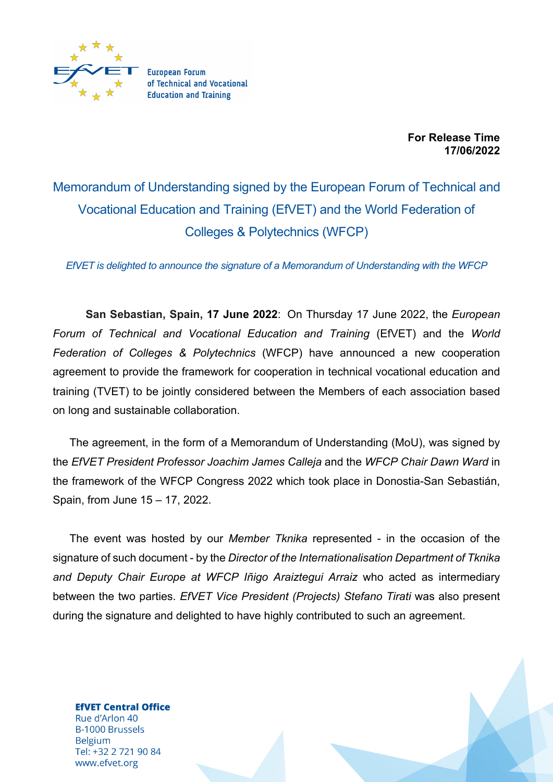

**For Release Time 17/06/2022**

Memorandum of Understanding signed by the European Forum of Technical and Vocational Education and Training (EfVET) and the World Federation of Colleges & Polytechnics (WFCP)

*EfVET is delighted to announce the signature of a Memorandum of Understanding with the WFCP*

**San Sebastian, Spain, 17 June 2022**: On Thursday 17 June 2022, the *European Forum of Technical and Vocational Education and Training* (EfVET) and the *World Federation of Colleges & Polytechnics* (WFCP) have announced a new cooperation agreement to provide the framework for cooperation in technical vocational education and training (TVET) to be jointly considered between the Members of each association based on long and sustainable collaboration.

The agreement, in the form of a Memorandum of Understanding (MoU), was signed by the *EfVET President Professor Joachim James Calleja* and the *WFCP Chair Dawn Ward* in the framework of the WFCP Congress 2022 which took place in Donostia-San Sebastián, Spain, from June 15 – 17, 2022.

The event was hosted by our *Member Tknika* represented - in the occasion of the signature of such document - by the *Director of the Internationalisation Department of Tknika and Deputy Chair Europe at WFCP Iñigo Araiztegui Arraiz* who acted as intermediary between the two parties. *EfVET Vice President (Projects) Stefano Tirati* was also present during the signature and delighted to have highly contributed to such an agreement.

**EfVET Central Office** Rue d'Arlon 40 **B-1000 Brussels Belgium** Tel: +32 2 721 90 84 www.efvet.org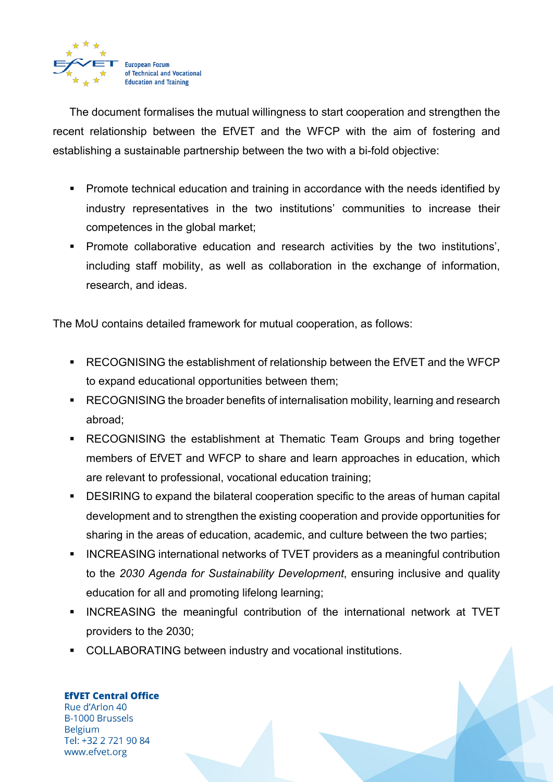

The document formalises the mutual willingness to start cooperation and strengthen the recent relationship between the EfVET and the WFCP with the aim of fostering and establishing a sustainable partnership between the two with a bi-fold objective:

- Promote technical education and training in accordance with the needs identified by industry representatives in the two institutions' communities to increase their competences in the global market;
- § Promote collaborative education and research activities by the two institutions', including staff mobility, as well as collaboration in the exchange of information, research, and ideas.

The MoU contains detailed framework for mutual cooperation, as follows:

- RECOGNISING the establishment of relationship between the EfVET and the WFCP to expand educational opportunities between them;
- RECOGNISING the broader benefits of internalisation mobility, learning and research abroad;
- RECOGNISING the establishment at Thematic Team Groups and bring together members of EfVET and WFCP to share and learn approaches in education, which are relevant to professional, vocational education training;
- DESIRING to expand the bilateral cooperation specific to the areas of human capital development and to strengthen the existing cooperation and provide opportunities for sharing in the areas of education, academic, and culture between the two parties;
- INCREASING international networks of TVET providers as a meaningful contribution to the *2030 Agenda for Sustainability Development*, ensuring inclusive and quality education for all and promoting lifelong learning;
- § INCREASING the meaningful contribution of the international network at TVET providers to the 2030;
- COLLABORATING between industry and vocational institutions.

**EfVET Central Office** 

Rue d'Arlon 40 **B-1000 Brussels Belgium** Tel: +32 2 721 90 84 www.efvet.org